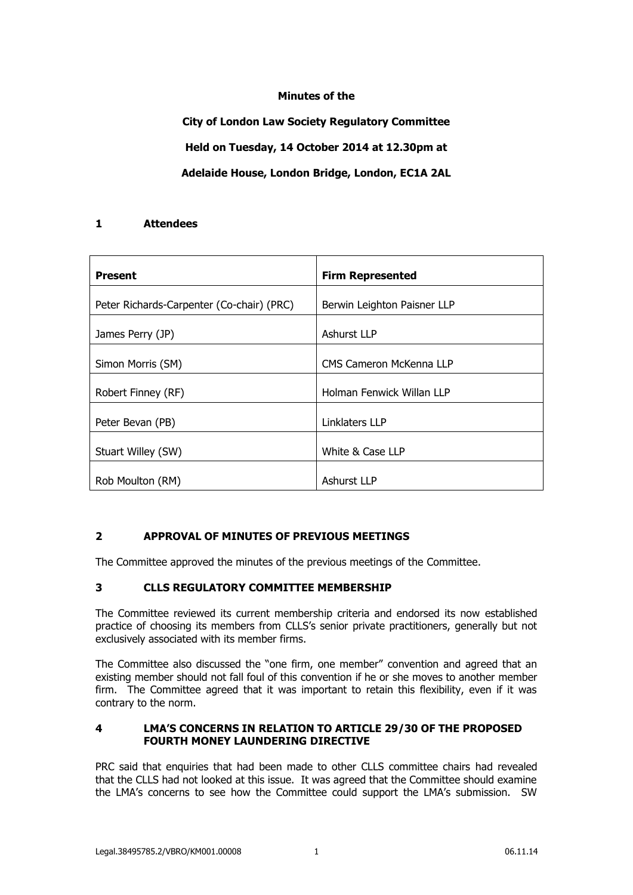## **Minutes of the**

**City of London Law Society Regulatory Committee Held on Tuesday, 14 October 2014 at 12.30pm at Adelaide House, London Bridge, London, EC1A 2AL**

## **1 Attendees**

| <b>Present</b>                            | <b>Firm Represented</b>     |
|-------------------------------------------|-----------------------------|
| Peter Richards-Carpenter (Co-chair) (PRC) | Berwin Leighton Paisner LLP |
| James Perry (JP)                          | <b>Ashurst LLP</b>          |
| Simon Morris (SM)                         | CMS Cameron McKenna LLP     |
| Robert Finney (RF)                        | Holman Fenwick Willan LLP   |
| Peter Bevan (PB)                          | Linklaters LLP              |
| Stuart Willey (SW)                        | White & Case LLP            |
| Rob Moulton (RM)                          | Ashurst LLP                 |

# **2 APPROVAL OF MINUTES OF PREVIOUS MEETINGS**

The Committee approved the minutes of the previous meetings of the Committee.

# **3 CLLS REGULATORY COMMITTEE MEMBERSHIP**

The Committee reviewed its current membership criteria and endorsed its now established practice of choosing its members from CLLS's senior private practitioners, generally but not exclusively associated with its member firms.

The Committee also discussed the "one firm, one member" convention and agreed that an existing member should not fall foul of this convention if he or she moves to another member firm. The Committee agreed that it was important to retain this flexibility, even if it was contrary to the norm.

#### **4 LMA'S CONCERNS IN RELATION TO ARTICLE 29/30 OF THE PROPOSED FOURTH MONEY LAUNDERING DIRECTIVE**

PRC said that enquiries that had been made to other CLLS committee chairs had revealed that the CLLS had not looked at this issue. It was agreed that the Committee should examine the LMA's concerns to see how the Committee could support the LMA's submission. SW